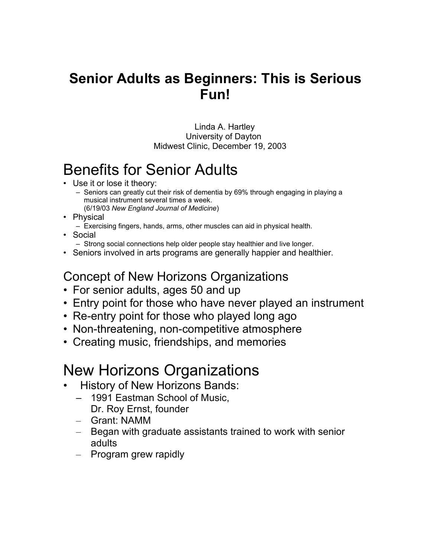#### **Senior Adults as Beginners: This is Serious Fun!**

 Linda A. Hartley University of Dayton Midwest Clinic, December 19, 2003

## Benefits for Senior Adults

- 
- Use it or lose it theory: Seniors can greatly cut their risk of dementia by 69% through engaging in playing a musical instrument several times a week.
	- (6/19/03 *New England Journal of Medicine*)
- Physical
	- Exercising fingers, hands, arms, other muscles can aid in physical health.
- Social
	- Strong social connections help older people stay healthier and live longer.
- Seniors involved in arts programs are generally happier and healthier.

#### Concept of New Horizons Organizations

- For senior adults, ages 50 and up
- Entry point for those who have never played an instrument
- Re-entry point for those who played long ago
- Non-threatening, non-competitive atmosphere
- Creating music, friendships, and memories

## New Horizons Organizations

- History of New Horizons Bands:
	- 1991 Eastman School of Music,
		- Dr. Roy Ernst, founder
	- Grant: NAMM
	- Began with graduate assistants trained to work with senior adults
	- Program grew rapidly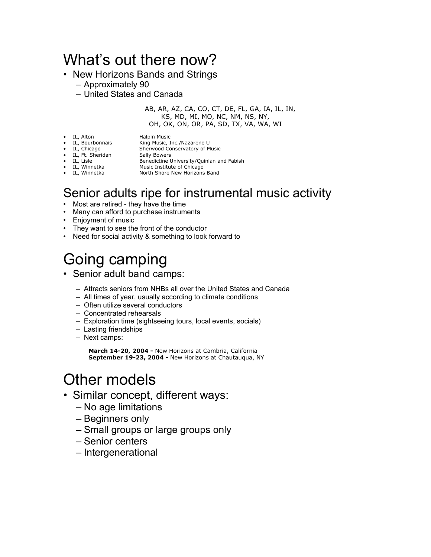## What's out there now?

- New Horizons Bands and Strings
	- Approximately 90
	- United States and Canada

AB, AR, AZ, CA, CO, CT, DE, FL, GA, IA, IL, IN, KS, MD, MI, MO, NC, NM, NS, NY, OH, OK, ON, OR, PA, SD, TX, VA, WA, WI

- 
- IL, Alton **Halpin Music**<br>• IL, Bourbonnais **Halpin Music**, I King Music, Inc./Nazarene U

Sherwood Conservatory of Music<br>Sally Bowers

- 
- IL, Chicago<br>• IL, Ft. Sheridan<br>• IL, Lisle
- 
- 
- IL, Lisle Benedictine University/Quinlan and Fabish Music Institute of Chicago North Shore New Horizons Band

#### Senior adults ripe for instrumental music activity

- Most are retired they have the time
- Many can afford to purchase instruments
- Enjoyment of music
- They want to see the front of the conductor
- Need for social activity & something to look forward to

## Going camping

- Senior adult band camps:
	- Attracts seniors from NHBs all over the United States and Canada
	- All times of year, usually according to climate conditions
	- Often utilize several conductors
	- Concentrated rehearsals
	- Exploration time (sightseeing tours, local events, socials)
	- Lasting friendships
	- Next camps:

**March 14-20, 2004 -** New Horizons at Cambria, California **September 19-23, 2004 -** New Horizons at Chautauqua, NY

### Other models

- Similar concept, different ways:
	- No age limitations
	- Beginners only
	- Small groups or large groups only
	- Senior centers
	- Intergenerational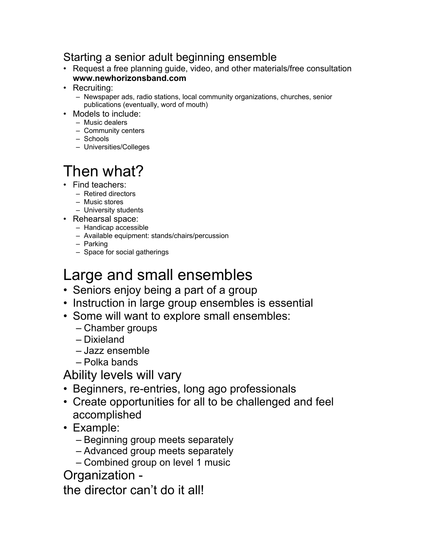#### Starting a senior adult beginning ensemble

- Request a free planning guide, video, and other materials/free consultation  **www.newhorizonsband.com**
- Recruiting:
	- Newspaper ads, radio stations, local community organizations, churches, senior publications (eventually, word of mouth)
- Models to include:
	- Music dealers
	- Community centers
	- Schools
	- Universities/Colleges

# Then what?

- Find teachers:
	- Retired directors
	- Music stores
	- University students
- Rehearsal space:
	- Handicap accessible
	- Available equipment: stands/chairs/percussion
	- Parking
	- Space for social gatherings

## Large and small ensembles

- Seniors enjoy being a part of a group
- Instruction in large group ensembles is essential
- Some will want to explore small ensembles:
	- Chamber groups
	- Dixieland
	- Jazz ensemble
	- Polka bands

Ability levels will vary

- Beginners, re-entries, long ago professionals
- Create opportunities for all to be challenged and feel accomplished
- Example:
	- Beginning group meets separately
	- Advanced group meets separately
	- Combined group on level 1 music

Organization -

the director can't do it all!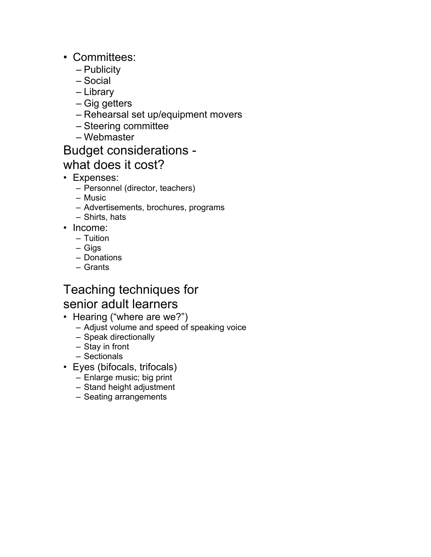- Committees:
	- Publicity
	- Social
	- Library
	- Gig getters
	- Rehearsal set up/equipment movers
	- Steering committee
	- Webmaster

# Budget considerations -

#### what does it cost?

- Expenses:
	- Personnel (director, teachers)
	- Music
	- Advertisements, brochures, programs
	- Shirts, hats
- Income:
	- Tuition
	- Gigs
	- Donations
	- Grants

#### Teaching techniques for senior adult learners

- Hearing ("where are we?")
	- Adjust volume and speed of speaking voice
	- Speak directionally
	- Stay in front
	- Sectionals
- Eyes (bifocals, trifocals)
	- Enlarge music; big print
	- Stand height adjustment
	- Seating arrangements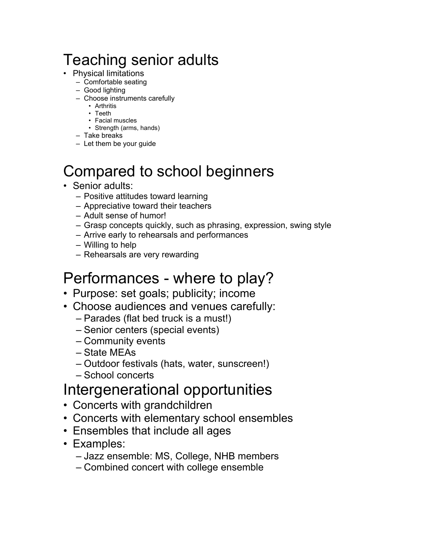# Teaching senior adults

- Physical limitations
	- Comfortable seating
	- Good lighting
	- Choose instruments carefully
		- Arthritis
		- Teeth • Facial muscles
		- Strength (arms, hands)
	- Take breaks
	- Let them be your guide

# Compared to school beginners

#### • Senior adults:

- Positive attitudes toward learning
- Appreciative toward their teachers
- Adult sense of humor!
- Grasp concepts quickly, such as phrasing, expression, swing style
- Arrive early to rehearsals and performances
- Willing to help
- Rehearsals are very rewarding

## Performances - where to play?

- Purpose: set goals; publicity; income
- Choose audiences and venues carefully:
	- Parades (flat bed truck is a must!)
	- Senior centers (special events)
	- Community events
	- State MEAs
	- Outdoor festivals (hats, water, sunscreen!)
	- School concerts

## Intergenerational opportunities

- Concerts with grandchildren
- Concerts with elementary school ensembles
- Ensembles that include all ages
- Examples:
	- Jazz ensemble: MS, College, NHB members
	- Combined concert with college ensemble